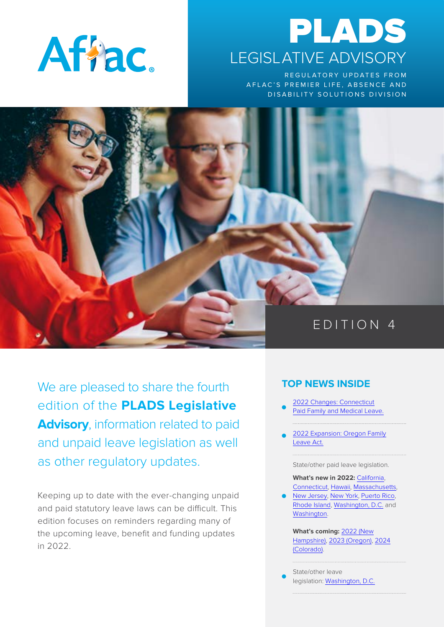

# LEGISL ATIVE ADVISORY PLADS

REGULATORY UPDATES FROM AFLAC'S PREMIER LIFE, ABSENCE AND DISABILITY SOLUTIONS DIVISION



We are pleased to share the fourth edition of the **PLADS Legislative Advisory**, information related to paid and unpaid leave legislation as well as other regulatory updates.

Keeping up to date with the ever-changing unpaid and paid statutory leave laws can be difficult. This edition focuses on reminders regarding many of the upcoming leave, benefit and funding updates in 2022.

# **TOP NEWS INSIDE**

2022 Changes: Connecticut [Paid Family and Medical Leave.](#page-1-0)

[2022 Expansion: Oregon Family](#page-1-0)  Leave Act.

State/other paid leave legislation.

**What's new in 2022:** [California,](#page-2-0) [Connecticut,](#page-2-0) [Hawaii,](#page-2-0) [Massachusetts](#page-3-0),

[New Jersey, New York](#page-3-0), [Puerto Rico](#page-4-0), [Rhode Island](#page-4-0), [Washington, D.C.](#page-4-0) and [Washington.](#page-5-0)

**What's coming:** [2022 \(New](#page-5-0)  [Hampshire\),](#page-5-0) [2023 \(Oregon\),](#page-6-0) [2024](#page-6-0)  [\(Colorado\).](#page-6-0)

State/other leave legislation: [Washington, D.C.](#page-7-0)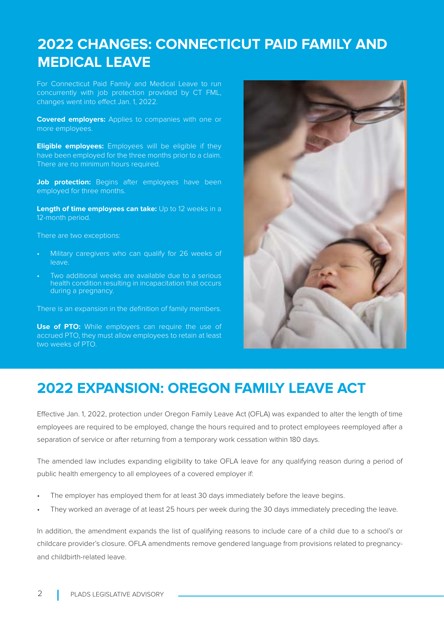# <span id="page-1-0"></span>**2022 CHANGES: CONNECTICUT PAID FAMILY AND MEDICAL LEAVE**

For Connecticut Paid Family and Medical Leave to run concurrently with job protection provided by CT FML, changes went into effect Jan. 1, 2022.

**Covered employers:** Applies to companies with one or more employees.

**Eligible employees:** Employees will be eligible if they have been employed for the three months prior to a claim. There are no minimum hours required.

**Job protection:** Begins after employees have been employed for three months.

**Length of time employees can take:** Up to 12 weeks in a 12-month period.

There are two exceptions:

- Military caregivers who can qualify for 26 weeks of leave.
- Two additional weeks are available due to a serious health condition resulting in incapacitation that occurs during a pregnancy.

There is an expansion in the definition of family members.

**Use of PTO:** While employers can require the use of accrued PTO, they must allow employees to retain at least two weeks of PTO.



# **2022 EXPANSION: OREGON FAMILY LEAVE ACT**

Effective Jan. 1, 2022, protection under Oregon Family Leave Act (OFLA) was expanded to alter the length of time employees are required to be employed, change the hours required and to protect employees reemployed after a separation of service or after returning from a temporary work cessation within 180 days.

The amended law includes expanding eligibility to take OFLA leave for any qualifying reason during a period of public health emergency to all employees of a covered employer if:

- The employer has employed them for at least 30 days immediately before the leave begins.
- They worked an average of at least 25 hours per week during the 30 days immediately preceding the leave.

In addition, the amendment expands the list of qualifying reasons to include care of a child due to a school's or childcare provider's closure. OFLA amendments remove gendered language from provisions related to pregnancyand childbirth-related leave.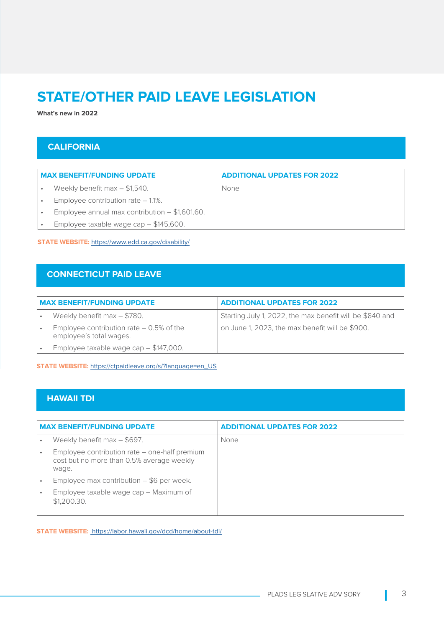<span id="page-2-0"></span>**What's new in 2022** 

# **CALIFORNIA**

| <b>MAX BENEFIT/FUNDING UPDATE</b> |                                                  | <b>ADDITIONAL UPDATES FOR 2022</b> |
|-----------------------------------|--------------------------------------------------|------------------------------------|
|                                   | Weekly benefit max - \$1,540.                    | None                               |
|                                   | Employee contribution rate $-1.1\%$ .            |                                    |
|                                   | Employee annual max contribution $-$ \$1,601.60. |                                    |
|                                   | Employee taxable wage cap - \$145,600.           |                                    |

**STATE WEBSITE:** <https://www.edd.ca.gov/disability/>

## **CONNECTICUT PAID LEAVE**

| <b>MAX BENEFIT/FUNDING UPDATE</b>                                     | <b>ADDITIONAL UPDATES FOR 2022</b>                       |
|-----------------------------------------------------------------------|----------------------------------------------------------|
| Weekly benefit max - \$780.                                           | Starting July 1, 2022, the max benefit will be \$840 and |
| Employee contribution rate $-0.5\%$ of the<br>employee's total wages. | on June 1, 2023, the max benefit will be \$900.          |
| Employee taxable wage cap - \$147,000.                                |                                                          |

**STATE WEBSITE:** [https://ctpaidleave.org/s/?language=en\\_US](https://ctpaidleave.org/s/?language=en_US)

### **HAWAII TDI**

| <b>MAX BENEFIT/FUNDING UPDATE</b>                                                                   | <b>ADDITIONAL UPDATES FOR 2022</b> |
|-----------------------------------------------------------------------------------------------------|------------------------------------|
| Weekly benefit max - \$697.                                                                         | None                               |
| Employee contribution rate - one-half premium<br>cost but no more than 0.5% average weekly<br>wage. |                                    |
| Employee max contribution $-$ \$6 per week.                                                         |                                    |
| Employee taxable wage cap - Maximum of<br>\$1,200.30.                                               |                                    |

**STATE WEBSITE:** <https://labor.hawaii.gov/dcd/home/about-tdi/>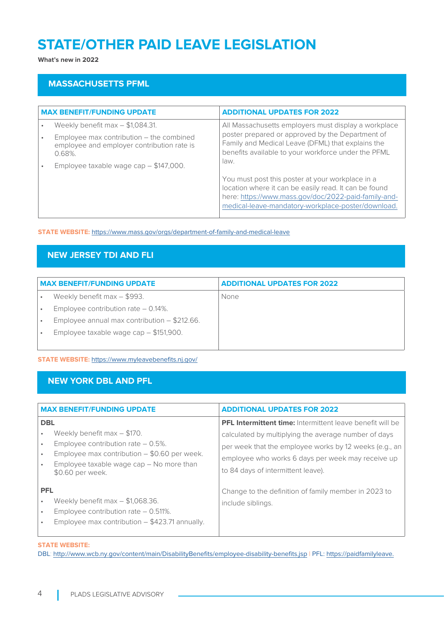### <span id="page-3-0"></span>**What's new in 2022**

### **MASSACHUSETTS PFML**

| <b>MAX BENEFIT/FUNDING UPDATE</b> |                                                                                                 | <b>ADDITIONAL UPDATES FOR 2022</b>                                                                                                                                                                                      |
|-----------------------------------|-------------------------------------------------------------------------------------------------|-------------------------------------------------------------------------------------------------------------------------------------------------------------------------------------------------------------------------|
|                                   | Weekly benefit max $-$ \$1,084.31.                                                              | All Massachusetts employers must display a workplace                                                                                                                                                                    |
|                                   | Employee max contribution - the combined<br>employee and employer contribution rate is<br>0.68% | poster prepared or approved by the Department of<br>Family and Medical Leave (DFML) that explains the<br>benefits available to your workforce under the PFML                                                            |
|                                   | Employee taxable wage cap - \$147,000.                                                          | law.                                                                                                                                                                                                                    |
|                                   |                                                                                                 | You must post this poster at your workplace in a<br>location where it can be easily read. It can be found<br>here: https://www.mass.gov/doc/2022-paid-family-and-<br>medical-leave-mandatory-workplace-poster/download. |

#### **STATE WEBSITE:** <https://www.mass.gov/orgs/department-of-family-and-medical-leave>

### **NEW JERSEY TDI AND FLI**

| <b>MAX BENEFIT/FUNDING UPDATE</b>              | <b>ADDITIONAL UPDATES FOR 2022</b> |
|------------------------------------------------|------------------------------------|
| Weekly benefit max - \$993.                    | None                               |
| Employee contribution rate $-$ 0.14%.          |                                    |
| Employee annual max contribution $-$ \$212.66. |                                    |
| Employee taxable wage cap - \$151,900.         |                                    |
|                                                |                                    |

### **STATE WEBSITE:** <https://www.myleavebenefits.nj.gov/>

### **NEW YORK DBL AND PFL**

| <b>MAX BENEFIT/FUNDING UPDATE</b> |                                                                                                                                                                                         | <b>ADDITIONAL UPDATES FOR 2022</b>                                                                                                                                                                                                                                            |
|-----------------------------------|-----------------------------------------------------------------------------------------------------------------------------------------------------------------------------------------|-------------------------------------------------------------------------------------------------------------------------------------------------------------------------------------------------------------------------------------------------------------------------------|
| <b>DBL</b>                        | Weekly benefit max - \$170.<br>Employee contribution rate $-0.5%$ .<br>Employee max contribution $-$ \$0.60 per week.<br>Employee taxable wage $cap - No$ more than<br>\$0.60 per week. | <b>PFL Intermittent time:</b> Intermittent leave benefit will be<br>calculated by multiplying the average number of days<br>per week that the employee works by 12 weeks (e.g., an<br>employee who works 6 days per week may receive up<br>to 84 days of intermittent leave). |
| <b>PFL</b>                        | Weekly benefit max $-$ \$1,068.36.<br>Employee contribution rate $-$ 0.511%.<br>Employee max contribution - \$423.71 annually.                                                          | Change to the definition of family member in 2023 to<br>include siblings.                                                                                                                                                                                                     |

#### **STATE WEBSITE:**

DBL: <http://www.wcb.ny.gov/content/main/DisabilityBenefits/employee-disability-benefits.jsp> | PFL: [https://paidfamilyleave.](https://paidfamilyleave.ny.gov/)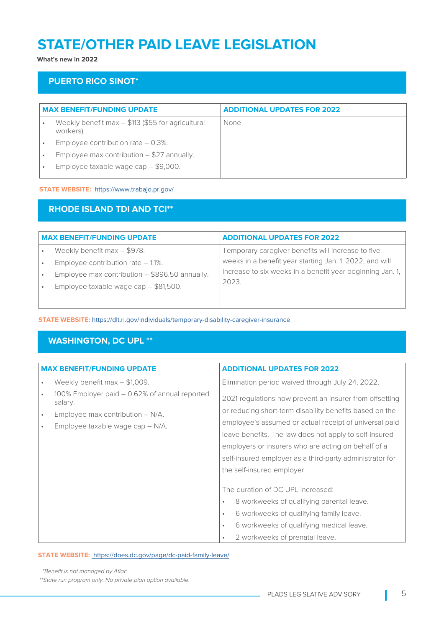<span id="page-4-0"></span>**What's new in 2022** 

### **PUERTO RICO SINOT\***

| <b>MAX BENEFIT/FUNDING UPDATE</b> |                                                                  | <b>ADDITIONAL UPDATES FOR 2022</b> |
|-----------------------------------|------------------------------------------------------------------|------------------------------------|
|                                   | Weekly benefit max $-$ \$113 (\$55 for agricultural<br>workers). | None                               |
|                                   | Employee contribution rate $-0.3\%$ .                            |                                    |
|                                   | Employee max contribution $-$ \$27 annually.                     |                                    |
|                                   | Employee taxable wage cap $-$ \$9,000.                           |                                    |

### **STATE WEBSITE:** <https://www.trabajo.pr.gov/>

## **RHODE ISLAND TDI AND TCI\*\***

| <b>MAX BENEFIT/FUNDING UPDATE</b>              | <b>ADDITIONAL UPDATES FOR 2022</b>                        |
|------------------------------------------------|-----------------------------------------------------------|
| Weekly benefit max - \$978.                    | Temporary caregiver benefits will increase to five        |
| Employee contribution rate $-1.1\%$ .          | weeks in a benefit year starting Jan. 1, 2022, and will   |
| Employee max contribution - \$896.50 annually. | increase to six weeks in a benefit year beginning Jan. 1, |
| Employee taxable wage cap - \$81,500.          | 2023.                                                     |
|                                                |                                                           |

**STATE WEBSITE:** <https://dlt.ri.gov/individuals/temporary-disability-caregiver-insurance>

### **WASHINGTON, DC UPL \*\***

| <b>MAX BENEFIT/FUNDING UPDATE</b> |                                                                                                                                     | <b>ADDITIONAL UPDATES FOR 2022</b>                                                                                                                                                                                                                                                                                                                                                                                                                                                                                                                                                                      |
|-----------------------------------|-------------------------------------------------------------------------------------------------------------------------------------|---------------------------------------------------------------------------------------------------------------------------------------------------------------------------------------------------------------------------------------------------------------------------------------------------------------------------------------------------------------------------------------------------------------------------------------------------------------------------------------------------------------------------------------------------------------------------------------------------------|
| $\bullet$                         | Weekly benefit max $-$ \$1,009.                                                                                                     | Elimination period waived through July 24, 2022.                                                                                                                                                                                                                                                                                                                                                                                                                                                                                                                                                        |
| $\bullet$<br>$\bullet$            | 100% Employer paid - 0.62% of annual reported<br>salary.<br>Employee max contribution $- N/A$ .<br>Employee taxable wage cap - N/A. | 2021 regulations now prevent an insurer from offsetting<br>or reducing short-term disability benefits based on the<br>employee's assumed or actual receipt of universal paid<br>leave benefits. The law does not apply to self-insured<br>employers or insurers who are acting on behalf of a<br>self-insured employer as a third-party administrator for<br>the self-insured employer.<br>The duration of DC UPL increased:<br>8 workweeks of qualifying parental leave.<br>$\bullet$<br>6 workweeks of qualifying family leave.<br>$\bullet$<br>6 workweeks of qualifying medical leave.<br>$\bullet$ |
|                                   |                                                                                                                                     | 2 workweeks of prenatal leave.<br>$\bullet$                                                                                                                                                                                                                                                                                                                                                                                                                                                                                                                                                             |

#### **STATE WEBSITE:** <https://does.dc.gov/page/dc-paid-family-leave/>

 *\*Benefit is not managed by Aflac.* 

*\*\*State run program only. No private plan option available.*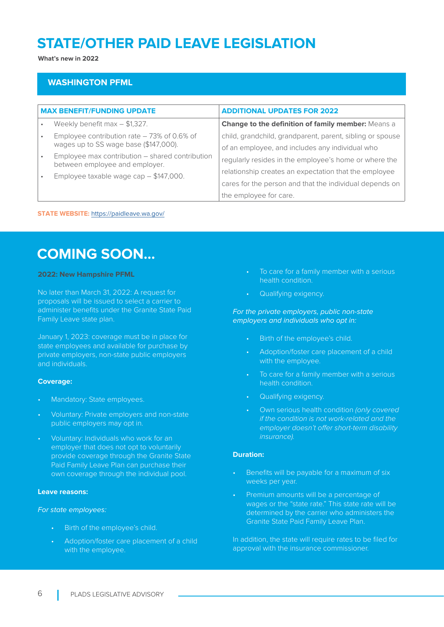#### <span id="page-5-0"></span>**What's new in 2022**

### **WASHINGTON PFML**

| <b>MAX BENEFIT/FUNDING UPDATE</b> |                                                                                   | <b>ADDITIONAL UPDATES FOR 2022</b>                        |
|-----------------------------------|-----------------------------------------------------------------------------------|-----------------------------------------------------------|
|                                   | Weekly benefit max - \$1,327.                                                     | Change to the definition of family member: Means a        |
|                                   | Employee contribution rate $-73\%$ of 0.6% of                                     | child, grandchild, grandparent, parent, sibling or spouse |
|                                   | wages up to SS wage base (\$147,000).                                             | of an employee, and includes any individual who           |
|                                   | Employee max contribution - shared contribution<br>between employee and employer. | regularly resides in the employee's home or where the     |
|                                   | Employee taxable wage cap - \$147,000.                                            | relationship creates an expectation that the employee     |
|                                   |                                                                                   | cares for the person and that the individual depends on   |
|                                   |                                                                                   | the employee for care.                                    |

**STATE WEBSITE:** <https://paidleave.wa.gov/>

# **COMING SOON…**

#### **2022: New Hampshire PFML**

No later than March 31, 2022: A request for proposals will be issued to select a carrier to administer benefits under the Granite State Paid Family Leave state plan.

January 1, 2023: coverage must be in place for state employees and available for purchase by private employers, non-state public employers and individuals.

#### **Coverage:**

- Mandatory: State employees.
- Voluntary: Private employers and non-state public employers may opt in.
- Voluntary: Individuals who work for an employer that does not opt to voluntarily provide coverage through the Granite State Paid Family Leave Plan can purchase their own coverage through the individual pool.

#### **Leave reasons:**

### For state employees:

- Birth of the employee's child.
- Adoption/foster care placement of a child with the employee.
- To care for a family member with a serious health condition.
- Qualifying exigency.

For the private employers, public non-state employers and individuals who opt in:

- Birth of the employee's child.
- Adoption/foster care placement of a child with the employee.
- To care for a family member with a serious health condition.
- Qualifying exigency.
- Own serious health condition *(only covered if the condition is not work-related and the employer doesn't offer short-term disability insurance).*

### **Duration:**

- Benefits will be payable for a maximum of six weeks per year.
- Premium amounts will be a percentage of wages or the "state rate." This state rate will be determined by the carrier who administers the Granite State Paid Family Leave Plan.

In addition, the state will require rates to be filed for approval with the insurance commissioner.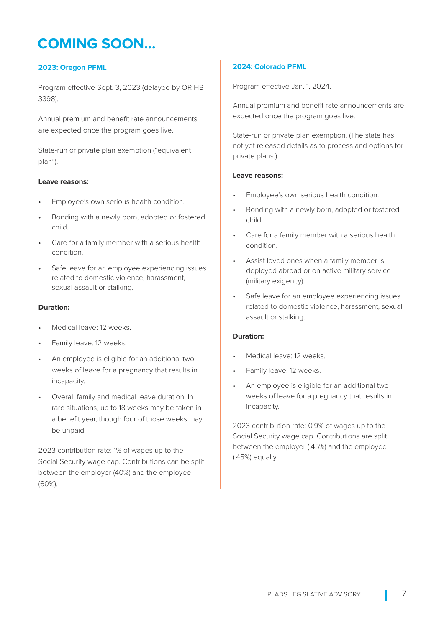# <span id="page-6-0"></span>**COMING SOON...**

### **2023: Oregon PFML**

Program effective Sept. 3, 2023 (delayed by OR HB 3398).

Annual premium and benefit rate announcements are expected once the program goes live.

State-run or private plan exemption ("equivalent plan").

### **Leave reasons:**

- Employee's own serious health condition.
- Bonding with a newly born, adopted or fostered child.
- Care for a family member with a serious health condition.
- Safe leave for an employee experiencing issues related to domestic violence, harassment, sexual assault or stalking.

### **Duration:**

- Medical leave: 12 weeks.
- Family leave: 12 weeks.
- An employee is eligible for an additional two weeks of leave for a pregnancy that results in incapacity.
- Overall family and medical leave duration: In rare situations, up to 18 weeks may be taken in a benefit year, though four of those weeks may be unpaid.

2023 contribution rate: 1% of wages up to the Social Security wage cap. Contributions can be split between the employer (40%) and the employee (60%).

### **2024: Colorado PFML**

Program effective Jan. 1, 2024.

Annual premium and benefit rate announcements are expected once the program goes live.

State-run or private plan exemption. (The state has not yet released details as to process and options for private plans.)

### **Leave reasons:**

- Employee's own serious health condition.
- Bonding with a newly born, adopted or fostered child.
- Care for a family member with a serious health condition.
- Assist loved ones when a family member is deployed abroad or on active military service (military exigency).
- Safe leave for an employee experiencing issues related to domestic violence, harassment, sexual assault or stalking.

### **Duration:**

- Medical leave: 12 weeks.
- Family leave: 12 weeks.
- An employee is eligible for an additional two weeks of leave for a pregnancy that results in incapacity.

2023 contribution rate: 0.9% of wages up to the Social Security wage cap. Contributions are split between the employer (.45%) and the employee (.45%) equally.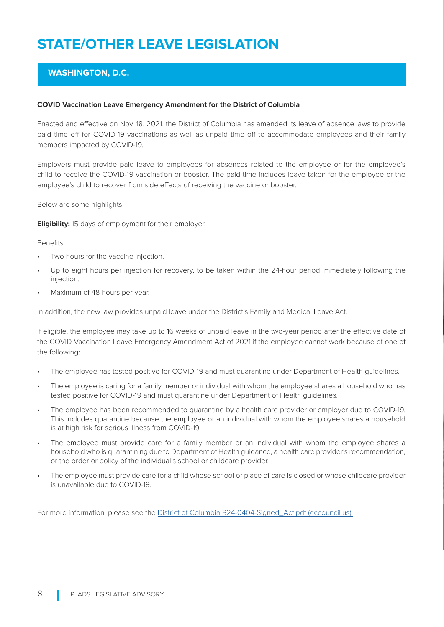### <span id="page-7-0"></span>**WASHINGTON, D.C.**

### **COVID Vaccination Leave Emergency Amendment for the District of Columbia**

Enacted and effective on Nov. 18, 2021, the District of Columbia has amended its leave of absence laws to provide paid time off for COVID-19 vaccinations as well as unpaid time off to accommodate employees and their family members impacted by COVID-19.

Employers must provide paid leave to employees for absences related to the employee or for the employee's child to receive the COVID-19 vaccination or booster. The paid time includes leave taken for the employee or the employee's child to recover from side effects of receiving the vaccine or booster.

Below are some highlights.

**Eligibility:** 15 days of employment for their employer.

Benefits:

- Two hours for the vaccine injection.
- Up to eight hours per injection for recovery, to be taken within the 24-hour period immediately following the injection.
- Maximum of 48 hours per year.

In addition, the new law provides unpaid leave under the District's Family and Medical Leave Act.

If eligible, the employee may take up to 16 weeks of unpaid leave in the two-year period after the effective date of the COVID Vaccination Leave Emergency Amendment Act of 2021 if the employee cannot work because of one of the following:

- The employee has tested positive for COVID-19 and must quarantine under Department of Health guidelines.
- The employee is caring for a family member or individual with whom the employee shares a household who has tested positive for COVID-19 and must quarantine under Department of Health guidelines.
- The employee has been recommended to quarantine by a health care provider or employer due to COVID-19. This includes quarantine because the employee or an individual with whom the employee shares a household is at high risk for serious illness from COVID-19.
- The employee must provide care for a family member or an individual with whom the employee shares a household who is quarantining due to Department of Health guidance, a health care provider's recommendation, or the order or policy of the individual's school or childcare provider.
- The employee must provide care for a child whose school or place of care is closed or whose childcare provider is unavailable due to COVID-19.

For more information, please see the [District of Columbia B24-0404-Signed\\_Act.pdf \(dccouncil.us\).](https://lims.dccouncil.us/downloads/LIMS/47928/Signed_Act/B24-0404-Signed_Act.pdf)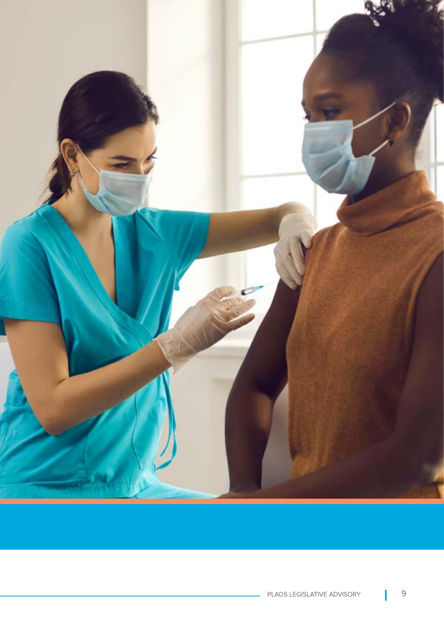